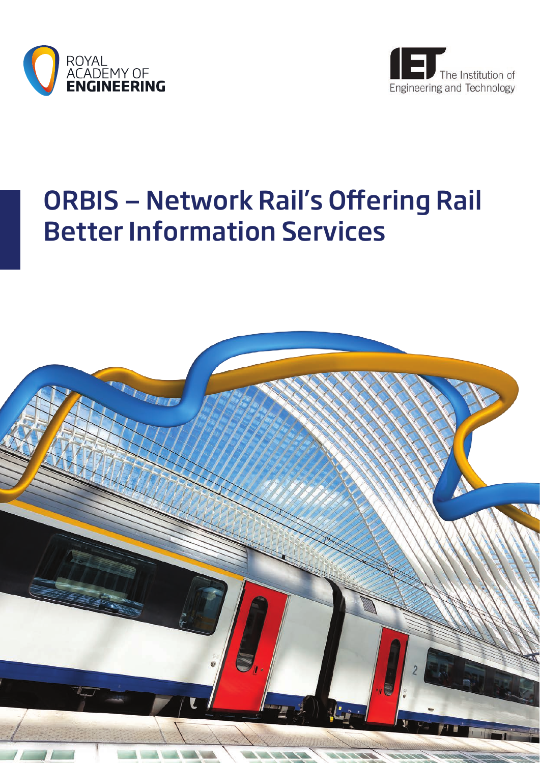



# ORBIS — Network Rail's Offering Rail Better Information Services

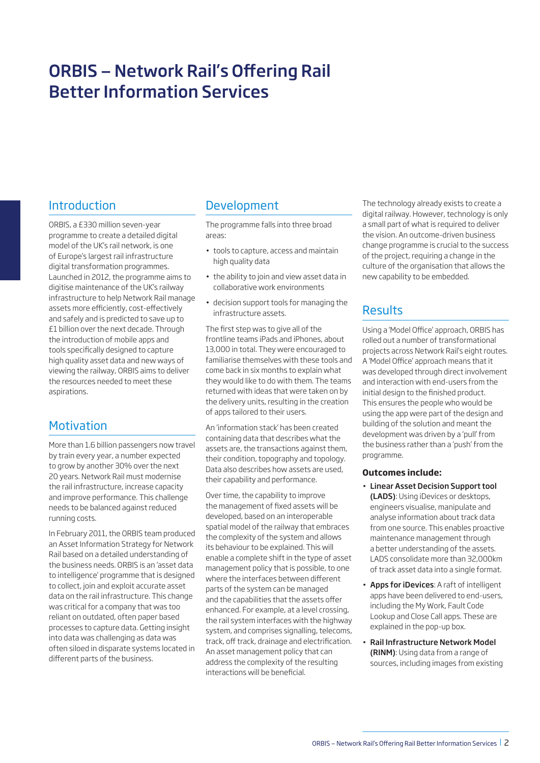# ORBIS — Network Rail's Offering Rail Better Information Services

# Introduction

ORBIS, a £330 million seven-year programme to create a detailed digital model of the UK's rail network, is one of Europe's largest rail infrastructure digital transformation programmes. Launched in 2012, the programme aims to digitise maintenance of the UK's railway infrastructure to help Network Rail manage assets more efficiently, cost-effectively and safely and is predicted to save up to £1 billion over the next decade. Through the introduction of mobile apps and tools specifically designed to capture high quality asset data and new ways of viewing the railway, ORBIS aims to deliver the resources needed to meet these aspirations.

# **Motivation**

More than 1.6 billion passengers now travel by train every year, a number expected to grow by another 30% over the next 20 years. Network Rail must modernise the rail infrastructure, increase capacity and improve performance. This challenge needs to be balanced against reduced running costs.

In February 2011, the ORBIS team produced an Asset Information Strategy for Network Rail based on a detailed understanding of the business needs. ORBIS is an 'asset data to intelligence' programme that is designed to collect, join and exploit accurate asset data on the rail infrastructure. This change was critical for a company that was too reliant on outdated, often paper based processes to capture data. Getting insight into data was challenging as data was often siloed in disparate systems located in different parts of the business.

### Development

The programme falls into three broad areas:

- tools to capture, access and maintain high quality data
- the ability to join and view asset data in collaborative work environments
- • decision support tools for managing the infrastructure assets.

The first step was to give all of the frontline teams iPads and iPhones, about 13,000 in total. They were encouraged to familiarise themselves with these tools and come back in six months to explain what they would like to do with them. The teams returned with ideas that were taken on by the delivery units, resulting in the creation of apps tailored to their users.

An 'information stack' has been created containing data that describes what the assets are, the transactions against them, their condition, topography and topology. Data also describes how assets are used, their capability and performance.

Over time, the capability to improve the management of fixed assets will be developed, based on an interoperable spatial model of the railway that embraces the complexity of the system and allows its behaviour to be explained. This will enable a complete shift in the type of asset management policy that is possible, to one where the interfaces between different parts of the system can be managed and the capabilities that the assets offer enhanced. For example, at a level crossing, the rail system interfaces with the highway system, and comprises signalling, telecoms, track, off track, drainage and electrification. An asset management policy that can address the complexity of the resulting interactions will be beneficial.

The technology already exists to create a digital railway. However, technology is only a small part of what is required to deliver the vision. An outcome-driven business change programme is crucial to the success of the project, requiring a change in the culture of the organisation that allows the new capability to be embedded.

# Results

Using a 'Model Office' approach, ORBIS has rolled out a number of transformational projects across Network Rail's eight routes. A 'Model Office' approach means that it was developed through direct involvement and interaction with end-users from the initial design to the finished product. This ensures the people who would be using the app were part of the design and building of the solution and meant the development was driven by a 'pull' from the business rather than a 'push' from the programme.

### **Outcomes include:**

- • Linear Asset Decision Support tool (LADS): Using iDevices or desktops, engineers visualise, manipulate and analyse information about track data from one source. This enables proactive maintenance management through a better understanding of the assets. LADS consolidate more than 32,000km of track asset data into a single format.
- Apps for iDevices: A raft of intelligent apps have been delivered to end-users, including the My Work, Fault Code Lookup and Close Call apps. These are explained in the pop-up box.
- Rail Infrastructure Network Model (RINM): Using data from a range of sources, including images from existing